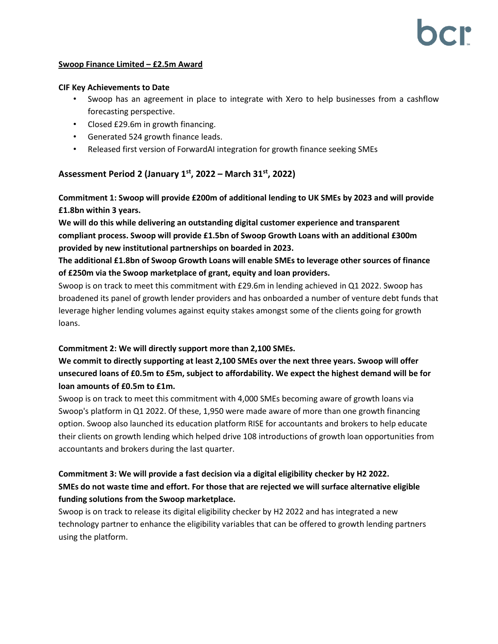#### **Swoop Finance Limited – £2.5m Award**

#### **CIF Key Achievements to Date**

- Swoop has an agreement in place to integrate with Xero to help businesses from a cashflow forecasting perspective.
- Closed £29.6m in growth financing.
- Generated 524 growth finance leads.
- Released first version of ForwardAI integration for growth finance seeking SMEs

## **Assessment Period 2 (January 1st , 2022 – March 31st, 2022)**

**Commitment 1: Swoop will provide £200m of additional lending to UK SMEs by 2023 and will provide £1.8bn within 3 years.**

**We will do this while delivering an outstanding digital customer experience and transparent compliant process. Swoop will provide £1.5bn of Swoop Growth Loans with an additional £300m provided by new institutional partnerships on boarded in 2023.**

**The additional £1.8bn of Swoop Growth Loans will enable SMEs to leverage other sources of finance of £250m via the Swoop marketplace of grant, equity and loan providers.**

Swoop is on track to meet this commitment with £29.6m in lending achieved in Q1 2022. Swoop has broadened its panel of growth lender providers and has onboarded a number of venture debt funds that leverage higher lending volumes against equity stakes amongst some of the clients going for growth loans.

### **Commitment 2: We will directly support more than 2,100 SMEs.**

# **We commit to directly supporting at least 2,100 SMEs over the next three years. Swoop will offer unsecured loans of £0.5m to £5m, subject to affordability. We expect the highest demand will be for loan amounts of £0.5m to £1m.**

Swoop is on track to meet this commitment with 4,000 SMEs becoming aware of growth loans via Swoop's platform in Q1 2022. Of these, 1,950 were made aware of more than one growth financing option. Swoop also launched its education platform RISE for accountants and brokers to help educate their clients on growth lending which helped drive 108 introductions of growth loan opportunities from accountants and brokers during the last quarter.

# **Commitment 3: We will provide a fast decision via a digital eligibility checker by H2 2022. SMEs do not waste time and effort. For those that are rejected we will surface alternative eligible funding solutions from the Swoop marketplace.**

Swoop is on track to release its digital eligibility checker by H2 2022 and has integrated a new technology partner to enhance the eligibility variables that can be offered to growth lending partners using the platform.